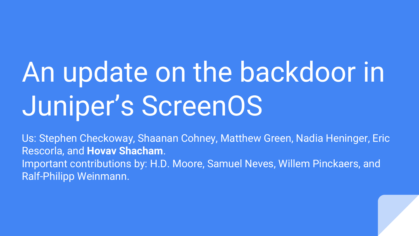# An update on the backdoor in Juniper's ScreenOS

Us: Stephen Checkoway, Shaanan Cohney, Matthew Green, Nadia Heninger, Eric Rescorla, and **Hovav Shacham**. Important contributions by: H.D. Moore, Samuel Neves, Willem Pinckaers, and Ralf-Philipp Weinmann.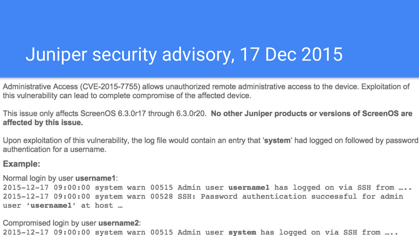### Juniper security advisory, 17 Dec 2015

Administrative Access (CVE-2015-7755) allows unauthorized remote administrative access to the device. Exploitation of this vulnerability can lead to complete compromise of the affected device.

This issue only affects ScreenOS 6.3.0r17 through 6.3.0r20. No other Juniper products or versions of ScreenOS are affected by this issue.

Upon exploitation of this vulnerability, the log file would contain an entry that 'system' had logged on followed by password authentication for a username.

#### **Example:**

Normal login by user username1:

2015-12-17 09:00:00 system warn 00515 Admin user usernamel has logged on via SSH from .... 2015-12-17 09:00:00 system warn 00528 SSH: Password authentication successful for admin user 'usernamel' at host ...

Compromised login by user username2: 2015-12-17 09:00:00 system warn 00515 Admin user system has logged on via SSH from ....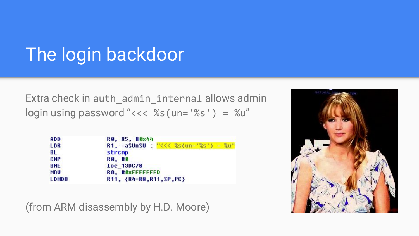# The login backdoor

Extra check in auth\_admin\_internal allows admin login using password "<<< %s(un='%s') = %u"

| ADD          | RO. R5. #0x44                                  |  |  |
|--------------|------------------------------------------------|--|--|
| <b>LDR</b>   | R1, =aSUnSU ; "<<< $%$ s(un=' $%$ s') = $%$ u" |  |  |
| BL           | strcmp                                         |  |  |
| CMP          | RO. #0                                         |  |  |
| <b>BNE</b>   | loc 13DC78                                     |  |  |
| <b>MOV</b>   | RO, #0xFFFFFFFD                                |  |  |
| <b>LDMDB</b> | R11, {R4-R8, R11, SP, PC}                      |  |  |

(from ARM disassembly by H.D. Moore)

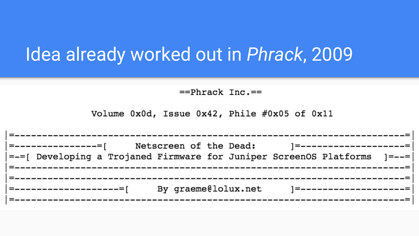#### Idea already worked out in *Phrack*, 2009

 $==Phrack$   $Inc =$ 

Volume 0x0d, Issue 0x42, Phile #0x05 of 0x11

| ' =----------------= [                                                          | Netscreen of the Dead: | ] ====================== |
|---------------------------------------------------------------------------------|------------------------|--------------------------|
| = - = [ Developing a Trojaned Firmware for Juniper ScreenOS Platforms 1 = - - = |                        |                          |
|                                                                                 |                        |                          |
|                                                                                 |                        |                          |
|                                                                                 | By graeme@lolux.net    | =======================  |
|                                                                                 |                        |                          |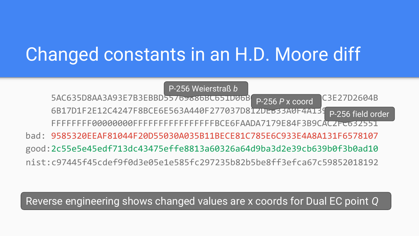# Changed constants in an H.D. Moore diff

 $5AC635D8AA3A93E7B3EBBD55769886BC651D96B$ 6B17D1F2E12C4247F8BCE6E563A440F277037D81ZDEb33A0F4AT39 FFFFFFFF00000000FFFFFFFFFFFFFFFFBCE6FAADA7179E84F3B9CAC2FC632551 P-256 Weierstraß *b* P-256 *P* x coord P-256 field order

bad: 9585320EEAF81044F20D55030A035B11BECE81C785E6C933E4A8A131F6578107 good:2c55e5e45edf713dc43475effe8813a60326a64d9ba3d2e39cb639b0f3b0ad10 nist:c97445f45cdef9f0d3e05e1e585fc297235b82b5be8ff3efca67c59852018192

Reverse engineering shows changed values are x coords for Dual EC point *Q*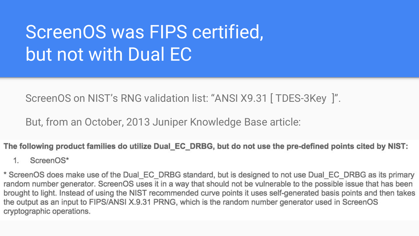# ScreenOS was FIPS certified, but not with Dual EC

ScreenOS on NIST's RNG validation list: "ANSI X9.31 [ TDES-3Key ]".

But, from an October, 2013 Juniper Knowledge Base article:

The following product families do utilize Dual EC DRBG, but do not use the pre-defined points cited by NIST:

 $1 \quad$ ScreenOS\*

\* ScreenOS does make use of the Dual EC DRBG standard, but is designed to not use Dual EC DRBG as its primary random number generator. ScreenOS uses it in a way that should not be vulnerable to the possible issue that has been brought to light. Instead of using the NIST recommended curve points it uses self-generated basis points and then takes the output as an input to FIPS/ANSI X.9.31 PRNG, which is the random number generator used in ScreenOS cryptographic operations.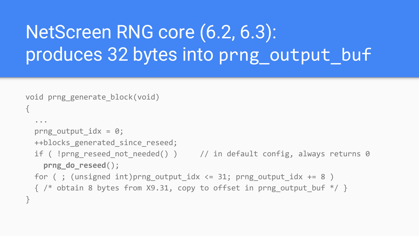# NetScreen RNG core (6.2, 6.3): produces 32 bytes into prng\_output\_buf

```
void prng generate block(void)
{
   ...
  prng output idx = 0;
   ++blocks_generated_since_reseed;
  if ( !prng reseed not needed() ) \frac{1}{2} // in default config, always returns 0
     prng_do_reseed();
  for ( ; (unsigned int)prng output idx \le 31; prng output idx += 8 )
  \{ /* obtain 8 bytes from X9.31, copy to offset in prng output buf */ }
}
```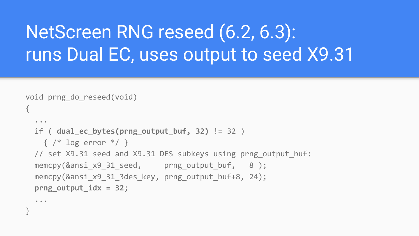# NetScreen RNG reseed (6.2, 6.3): runs Dual EC, uses output to seed X9.31

```
void prng do reseed(void)
{
   ...
   if ( dual_ec_bytes(prng_output_buf, 32) != 32 )
  \{ /* log error */ }
 // set X9.31 seed and X9.31 DES subkeys using prng output buf:
 memcpy(&\text{ansi}x931\text{ seed}, prng_output_buf, 8 );
  memcpy(&ansi x9 31 3des key, prng output buf+8, 24);
   prng_output_idx = 32;
   ...
```
}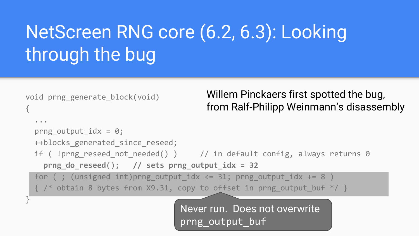# NetScreen RNG core (6.2, 6.3): Looking through the bug

```
void prng generate block(void)
{
   ...
  prng output idx = 0;
   ++blocks_generated_since_reseed;
  if ( !prng reseed not needed() ) \frac{1}{2} // in default config, always returns 0
     prng_do_reseed(); // sets prng_output_idx = 32 
  for ( ; (unsigned int)prng output idx \le 31; prng output idx += 8 )
 \{ /* obtain 8 bytes from X9.31, copy to offset in prng output buf */ }
}
                                         Willem Pinckaers first spotted the bug, 
                                         from Ralf-Philipp Weinmann's disassembly
```
Never run. Does not overwrite prng\_output\_buf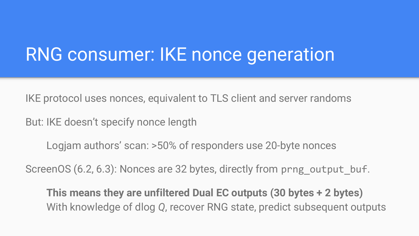### RNG consumer: IKE nonce generation

IKE protocol uses nonces, equivalent to TLS client and server randoms

But: IKE doesn't specify nonce length

Logjam authors' scan: >50% of responders use 20-byte nonces

ScreenOS (6.2, 6.3): Nonces are 32 bytes, directly from prng\_output\_buf.

**This means they are unfiltered Dual EC outputs (30 bytes + 2 bytes)** With knowledge of dlog *Q*, recover RNG state, predict subsequent outputs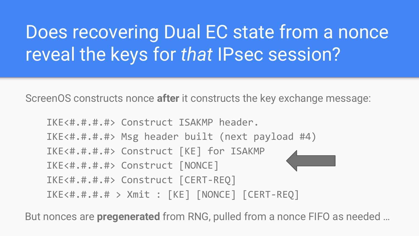# Does recovering Dual EC state from a nonce reveal the keys for *that* IPsec session?

ScreenOS constructs nonce **after** it constructs the key exchange message:

IKE<#.#.#.#> Construct ISAKMP header. IKE<#.#.#.#> Msg header built (next payload #4) IKE<#.#.#.#> Construct [KE] for ISAKMP IKE<#.#.#.#> Construct [NONCE] IKE<#.#.#.#> Construct [CERT-REQ] IKE<#.#.#.# > Xmit : [KE] [NONCE] [CERT-REQ]

But nonces are **pregenerated** from RNG, pulled from a nonce FIFO as needed …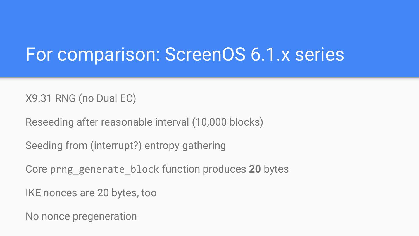#### For comparison: ScreenOS 6.1.x series

X9.31 RNG (no Dual EC)

Reseeding after reasonable interval (10,000 blocks)

Seeding from (interrupt?) entropy gathering

Core prng\_generate\_block function produces **20** bytes

IKE nonces are 20 bytes, too

No nonce pregeneration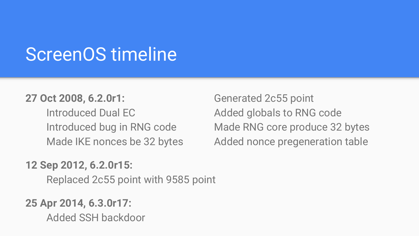#### ScreenOS timeline

#### **27 Oct 2008, 6.2.0r1:** Generated 2c55 point

Introduced Dual EC Added globals to RNG code

#### **12 Sep 2012, 6.2.0r15:**

Replaced 2c55 point with 9585 point

#### **25 Apr 2014, 6.3.0r17:**

Added SSH backdoor

Introduced bug in RNG code Made RNG core produce 32 bytes Made IKE nonces be 32 bytes Added nonce pregeneration table